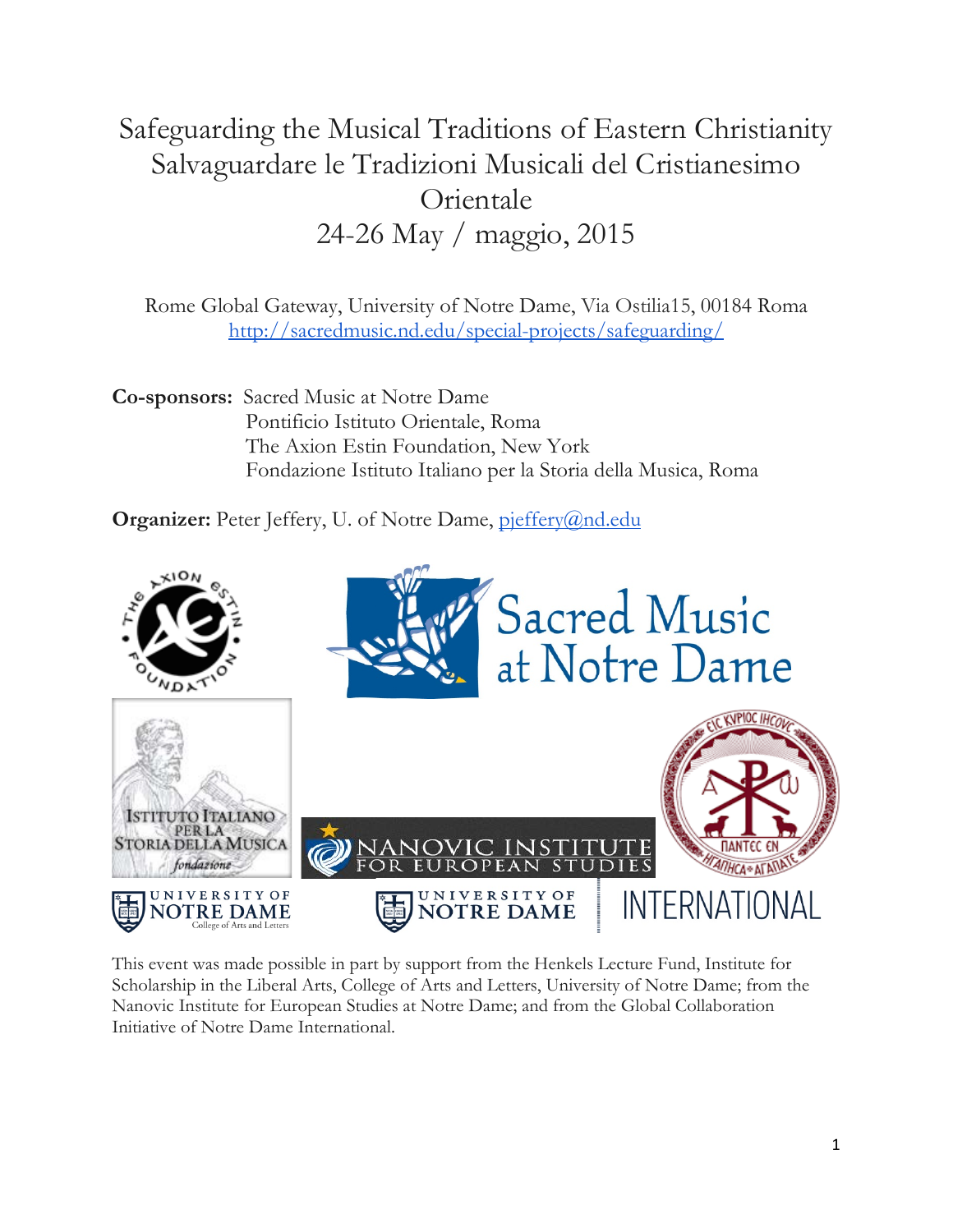# Safeguarding the Musical Traditions of Eastern Christianity Salvaguardare le Tradizioni Musicali del Cristianesimo Orientale 24-26 May / maggio, 2015

Rome Global Gateway, University of Notre Dame, Via Ostilia15, 00184 Roma <http://sacredmusic.nd.edu/special-projects/safeguarding/>

**Co-sponsors:** Sacred Music at Notre Dame Pontificio Istituto Orientale, Roma The Axion Estin Foundation, New York Fondazione Istituto Italiano per la Storia della Musica, Roma

**Organizer:** Peter Jeffery, U. of Notre Dame, [pjeffery@nd.edu](mailto:pjeffery@nd.edu)



This event was made possible in part by support from the Henkels Lecture Fund, Institute for Scholarship in the Liberal Arts, College of Arts and Letters, University of Notre Dame; from the Nanovic Institute for European Studies at Notre Dame; and from the Global Collaboration Initiative of Notre Dame International.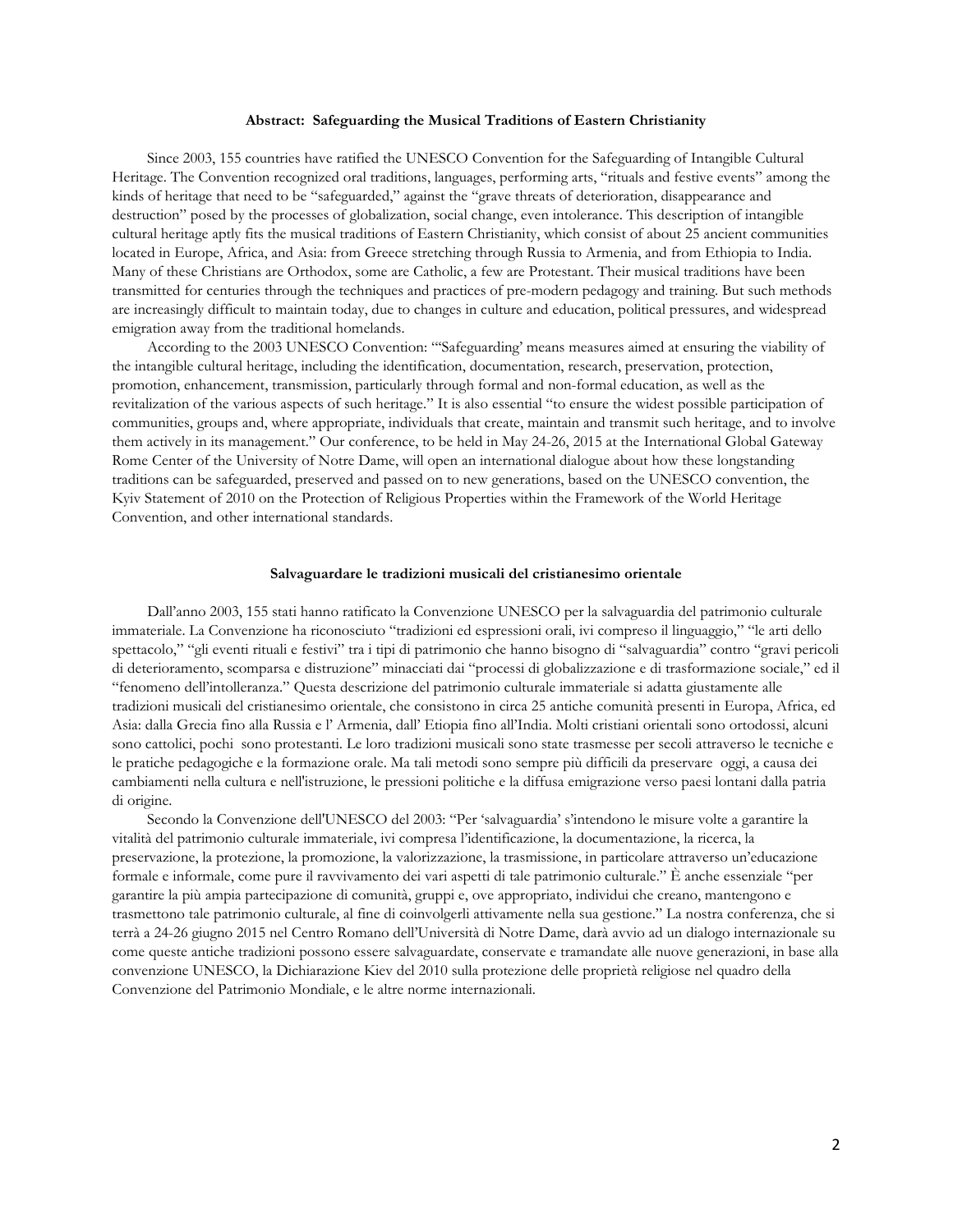#### **Abstract: Safeguarding the Musical Traditions of Eastern Christianity**

 Since 2003, 155 countries have ratified the UNESCO Convention for the Safeguarding of Intangible Cultural Heritage. The Convention recognized oral traditions, languages, performing arts, "rituals and festive events" among the kinds of heritage that need to be "safeguarded," against the "grave threats of deterioration, disappearance and destruction" posed by the processes of globalization, social change, even intolerance. This description of intangible cultural heritage aptly fits the musical traditions of Eastern Christianity, which consist of about 25 ancient communities located in Europe, Africa, and Asia: from Greece stretching through Russia to Armenia, and from Ethiopia to India. Many of these Christians are Orthodox, some are Catholic, a few are Protestant. Their musical traditions have been transmitted for centuries through the techniques and practices of pre-modern pedagogy and training. But such methods are increasingly difficult to maintain today, due to changes in culture and education, political pressures, and widespread emigration away from the traditional homelands.

 According to the 2003 UNESCO Convention: "'Safeguarding' means measures aimed at ensuring the viability of the intangible cultural heritage, including the identification, documentation, research, preservation, protection, promotion, enhancement, transmission, particularly through formal and non-formal education, as well as the revitalization of the various aspects of such heritage." It is also essential "to ensure the widest possible participation of communities, groups and, where appropriate, individuals that create, maintain and transmit such heritage, and to involve them actively in its management." Our conference, to be held in May 24-26, 2015 at the International Global Gateway Rome Center of the University of Notre Dame, will open an international dialogue about how these longstanding traditions can be safeguarded, preserved and passed on to new generations, based on the UNESCO convention, the Kyiv Statement of 2010 on the Protection of Religious Properties within the Framework of the World Heritage Convention, and other international standards.

#### **Salvaguardare le tradizioni musicali del cristianesimo orientale**

 Dall'anno 2003, 155 stati hanno ratificato la Convenzione UNESCO per la salvaguardia del patrimonio culturale immateriale. La Convenzione ha riconosciuto "tradizioni ed espressioni orali, ivi compreso il linguaggio," "le arti dello spettacolo," "gli eventi rituali e festivi" tra i tipi di patrimonio che hanno bisogno di "salvaguardia" contro "gravi pericoli di deterioramento, scomparsa e distruzione" minacciati dai "processi di globalizzazione e di trasformazione sociale," ed il "fenomeno dell'intolleranza." Questa descrizione del patrimonio culturale immateriale si adatta giustamente alle tradizioni musicali del cristianesimo orientale, che consistono in circa 25 antiche comunità presenti in Europa, Africa, ed Asia: dalla Grecia fino alla Russia e l' Armenia, dall' Etiopia fino all'India. Molti cristiani orientali sono ortodossi, alcuni sono cattolici, pochi sono protestanti. Le loro tradizioni musicali sono state trasmesse per secoli attraverso le tecniche e le pratiche pedagogiche e la formazione orale. Ma tali metodi sono sempre più difficili da preservare oggi, a causa dei cambiamenti nella cultura e nell'istruzione, le pressioni politiche e la diffusa emigrazione verso paesi lontani dalla patria di origine.

 Secondo la Convenzione dell'UNESCO del 2003: "Per 'salvaguardia' s'intendono le misure volte a garantire la vitalità del patrimonio culturale immateriale, ivi compresa l'identificazione, la documentazione, la ricerca, la preservazione, la protezione, la promozione, la valorizzazione, la trasmissione, in particolare attraverso un'educazione formale e informale, come pure il ravvivamento dei vari aspetti di tale patrimonio culturale." È anche essenziale "per garantire la più ampia partecipazione di comunità, gruppi e, ove appropriato, individui che creano, mantengono e trasmettono tale patrimonio culturale, al fine di coinvolgerli attivamente nella sua gestione." La nostra conferenza, che si terrà a 24-26 giugno 2015 nel Centro Romano dell'Università di Notre Dame, darà avvio ad un dialogo internazionale su come queste antiche tradizioni possono essere salvaguardate, conservate e tramandate alle nuove generazioni, in base alla convenzione UNESCO, la Dichiarazione Kiev del 2010 sulla protezione delle proprietà religiose nel quadro della Convenzione del Patrimonio Mondiale, e le altre norme internazionali.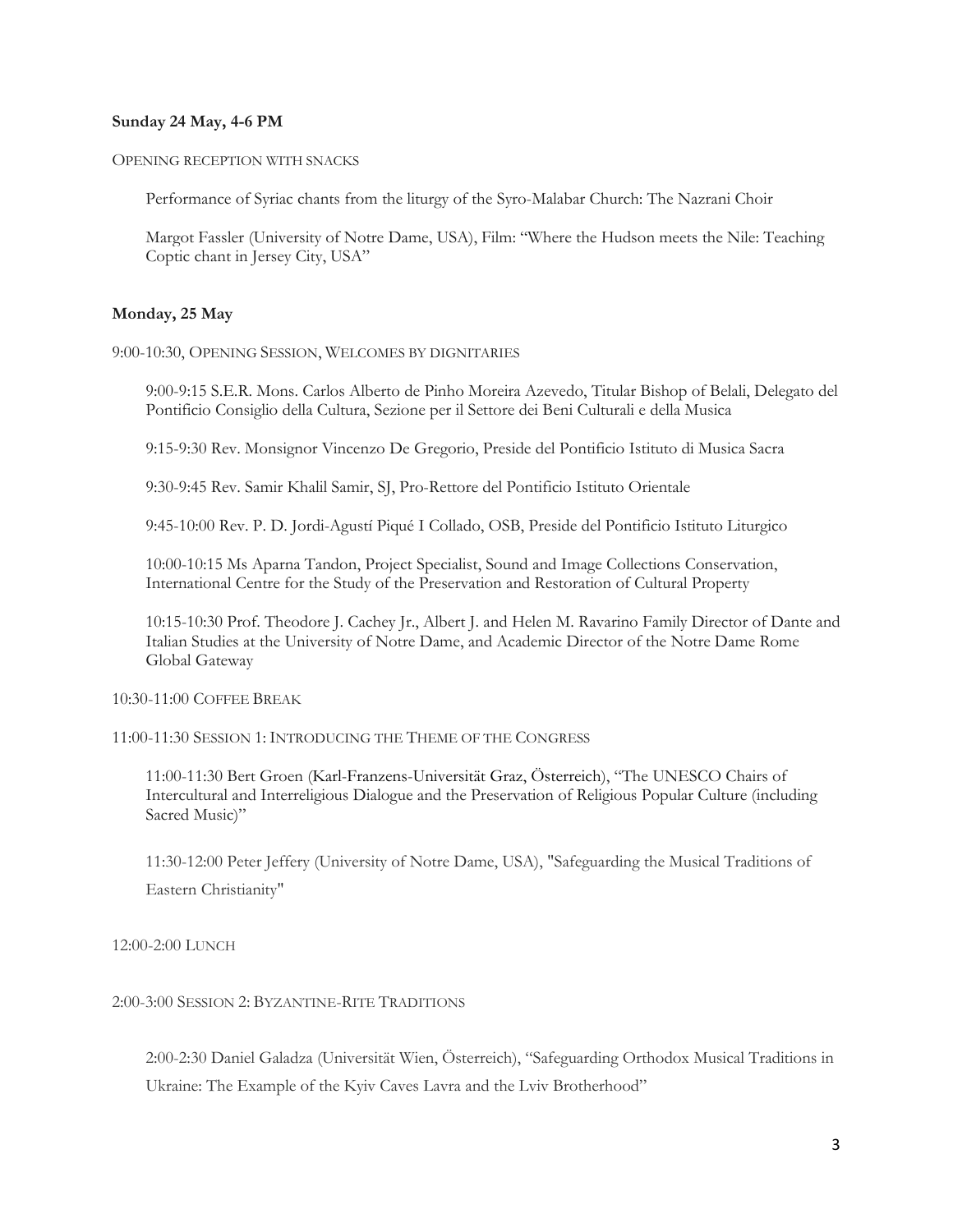# **Sunday 24 May, 4-6 PM**

OPENING RECEPTION WITH SNACKS

Performance of Syriac chants from the liturgy of the Syro-Malabar Church: The Nazrani Choir

Margot Fassler (University of Notre Dame, USA), Film: "Where the Hudson meets the Nile: Teaching Coptic chant in Jersey City, USA"

## **Monday, 25 May**

9:00-10:30, OPENING SESSION, WELCOMES BY DIGNITARIES

9:00-9:15 S.E.R. Mons. Carlos Alberto de Pinho Moreira Azevedo, Titular Bishop of Belali, Delegato del Pontificio Consiglio della Cultura, Sezione per il Settore dei Beni Culturali e della Musica

9:15-9:30 Rev. Monsignor Vincenzo De Gregorio, Preside del Pontificio Istituto di Musica Sacra

9:30-9:45 Rev. Samir Khalil Samir, SJ, Pro-Rettore del Pontificio Istituto Orientale

9:45-10:00 Rev. P. D. Jordi-Agustí Piqué I Collado, OSB, Preside del Pontificio Istituto Liturgico

10:00-10:15 Ms Aparna Tandon, Project Specialist, Sound and Image Collections Conservation, International Centre for the Study of the Preservation and Restoration of Cultural Property

10:15-10:30 Prof. Theodore J. Cachey Jr., Albert J. and Helen M. Ravarino Family Director of Dante and Italian Studies at the University of Notre Dame, and Academic Director of the Notre Dame Rome Global Gateway

10:30-11:00 COFFEE BREAK

11:00-11:30 SESSION 1: INTRODUCING THE THEME OF THE CONGRESS

11:00-11:30 Bert Groen (Karl-Franzens-Universität Graz, Österreich), "The UNESCO Chairs of Intercultural and Interreligious Dialogue and the Preservation of Religious Popular Culture (including Sacred Music)"

11:30-12:00 Peter Jeffery (University of Notre Dame, USA), "Safeguarding the Musical Traditions of Eastern Christianity"

12:00-2:00 LUNCH

2:00-3:00 SESSION 2: BYZANTINE-RITE TRADITIONS

2:00-2:30 Daniel Galadza (Universität Wien, Österreich), "Safeguarding Orthodox Musical Traditions in Ukraine: The Example of the Kyiv Caves Lavra and the Lviv Brotherhood"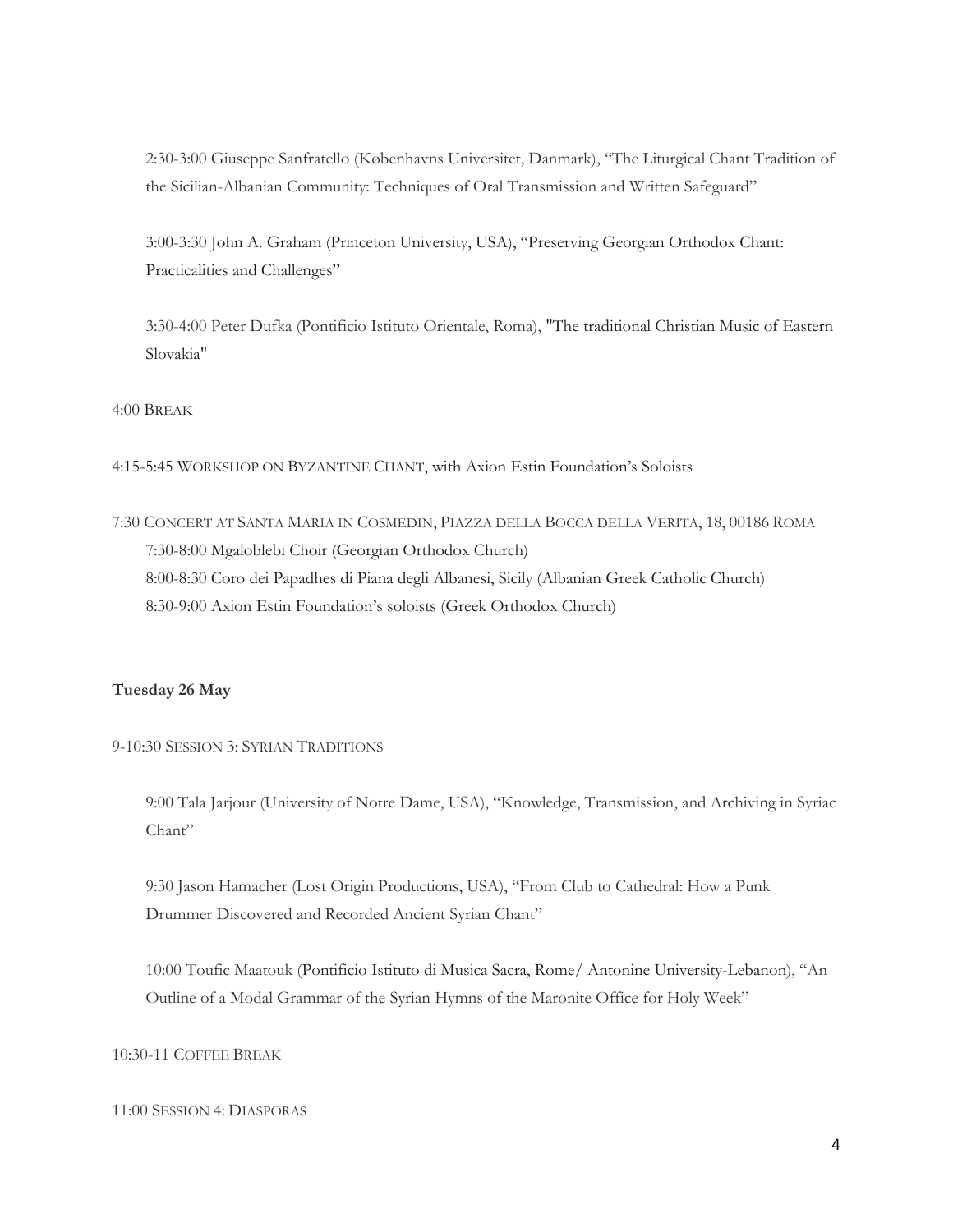2:30-3:00 Giuseppe Sanfratello (Københavns Universitet, Danmark), "The Liturgical Chant Tradition of the Sicilian-Albanian Community: Techniques of Oral Transmission and Written Safeguard"

3:00-3:30 John A. Graham (Princeton University, USA), "Preserving Georgian Orthodox Chant: Practicalities and Challenges"

3:30-4:00 Peter Dufka (Pontificio Istituto Orientale, Roma), "The traditional Christian Music of Eastern Slovakia"

4:00 BREAK

4:15-5:45 WORKSHOP ON BYZANTINE CHANT, with Axion Estin Foundation's Soloists

7:30 CONCERT AT SANTA MARIA IN COSMEDIN, PIAZZA DELLA BOCCA DELLA VERITÀ, 18, 00186 ROMA 7:30-8:00 Mgaloblebi Choir (Georgian Orthodox Church) 8:00-8:30 Coro dei Papadhes di Piana degli Albanesi, Sicily (Albanian Greek Catholic Church) 8:30-9:00 Axion Estin Foundation's soloists (Greek Orthodox Church)

# **Tuesday 26 May**

9-10:30 SESSION 3: SYRIAN TRADITIONS

9:00 Tala Jarjour (University of Notre Dame, USA), "Knowledge, Transmission, and Archiving in Syriac Chant"

9:30 Jason Hamacher (Lost Origin Productions, USA), "From Club to Cathedral: How a Punk Drummer Discovered and Recorded Ancient Syrian Chant"

10:00 Toufic Maatouk (Pontificio Istituto di Musica Sacra, Rome/ Antonine University-Lebanon), "An Outline of a Modal Grammar of the Syrian Hymns of the Maronite Office for Holy Week"

10:30-11 COFFEE BREAK

## 11:00 SESSION 4: DIASPORAS